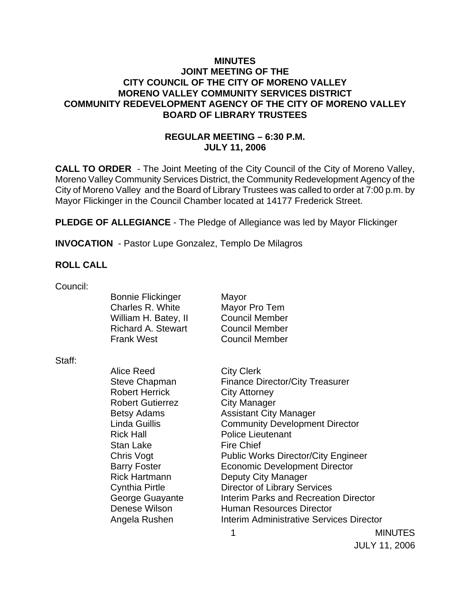### **MINUTES JOINT MEETING OF THE CITY COUNCIL OF THE CITY OF MORENO VALLEY MORENO VALLEY COMMUNITY SERVICES DISTRICT COMMUNITY REDEVELOPMENT AGENCY OF THE CITY OF MORENO VALLEY BOARD OF LIBRARY TRUSTEES**

## **REGULAR MEETING – 6:30 P.M. JULY 11, 2006**

**CALL TO ORDER** - The Joint Meeting of the City Council of the City of Moreno Valley, Moreno Valley Community Services District, the Community Redevelopment Agency of the City of Moreno Valley and the Board of Library Trustees was called to order at 7:00 p.m. by Mayor Flickinger in the Council Chamber located at 14177 Frederick Street.

**PLEDGE OF ALLEGIANCE** - The Pledge of Allegiance was led by Mayor Flickinger

**INVOCATION** - Pastor Lupe Gonzalez, Templo De Milagros

### **ROLL CALL**

Council:

Bonnie Flickinger Mayor Charles R. White Mayor Pro Tem William H. Batey, II Council Member Richard A. Stewart Council Member Frank West Council Member

Staff:

Alice Reed City Clerk Robert Herrick City Attorney Robert Gutierrez **City Manager** Rick Hall Police Lieutenant Stan Lake Fire Chief Rick Hartmann Deputy City Manager

Steve Chapman Finance Director/City Treasurer Betsy Adams **Assistant City Manager** Linda Guillis Community Development Director Chris Vogt **Public Works Director/City Engineer** Barry Foster **Economic Development Director** Cynthia Pirtle Director of Library Services George Guayante **Interim Parks and Recreation Director** Denese Wilson **Human Resources Director** Angela Rushen **Interim Administrative Services Director** 

 1 MINUTES JULY 11, 2006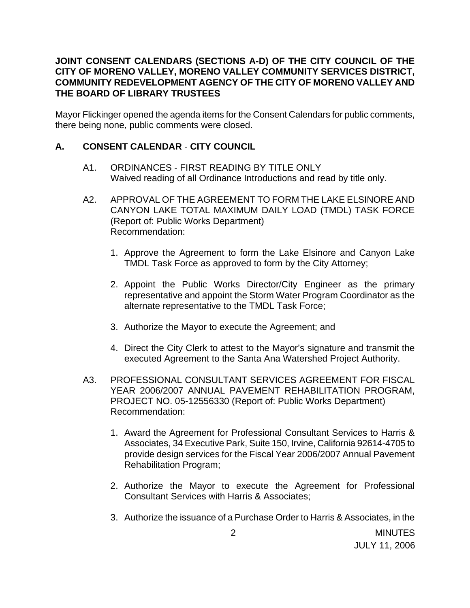### **JOINT CONSENT CALENDARS (SECTIONS A-D) OF THE CITY COUNCIL OF THE CITY OF MORENO VALLEY, MORENO VALLEY COMMUNITY SERVICES DISTRICT, COMMUNITY REDEVELOPMENT AGENCY OF THE CITY OF MORENO VALLEY AND THE BOARD OF LIBRARY TRUSTEES**

Mayor Flickinger opened the agenda items for the Consent Calendars for public comments, there being none, public comments were closed.

### **A. CONSENT CALENDAR** - **CITY COUNCIL**

- A1. ORDINANCES FIRST READING BY TITLE ONLY Waived reading of all Ordinance Introductions and read by title only.
- A2. APPROVAL OF THE AGREEMENT TO FORM THE LAKE ELSINORE AND CANYON LAKE TOTAL MAXIMUM DAILY LOAD (TMDL) TASK FORCE (Report of: Public Works Department) Recommendation:
	- 1. Approve the Agreement to form the Lake Elsinore and Canyon Lake TMDL Task Force as approved to form by the City Attorney;
	- 2. Appoint the Public Works Director/City Engineer as the primary representative and appoint the Storm Water Program Coordinator as the alternate representative to the TMDL Task Force;
	- 3. Authorize the Mayor to execute the Agreement; and
	- 4. Direct the City Clerk to attest to the Mayor's signature and transmit the executed Agreement to the Santa Ana Watershed Project Authority.
- A3. PROFESSIONAL CONSULTANT SERVICES AGREEMENT FOR FISCAL YEAR 2006/2007 ANNUAL PAVEMENT REHABILITATION PROGRAM, PROJECT NO. 05-12556330 (Report of: Public Works Department) Recommendation:
	- 1. Award the Agreement for Professional Consultant Services to Harris & Associates, 34 Executive Park, Suite 150, Irvine, California 92614-4705 to provide design services for the Fiscal Year 2006/2007 Annual Pavement Rehabilitation Program;
	- 2. Authorize the Mayor to execute the Agreement for Professional Consultant Services with Harris & Associates;
	- 3. Authorize the issuance of a Purchase Order to Harris & Associates, in the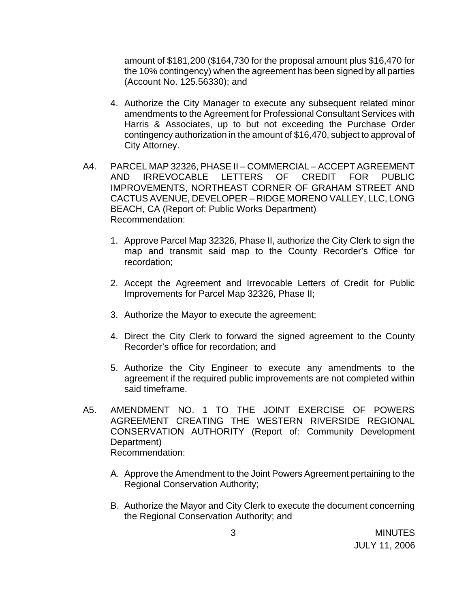amount of \$181,200 (\$164,730 for the proposal amount plus \$16,470 for the 10% contingency) when the agreement has been signed by all parties (Account No. 125.56330); and

- 4. Authorize the City Manager to execute any subsequent related minor amendments to the Agreement for Professional Consultant Services with Harris & Associates, up to but not exceeding the Purchase Order contingency authorization in the amount of \$16,470, subject to approval of City Attorney.
- A4. PARCEL MAP 32326, PHASE II COMMERCIAL ACCEPT AGREEMENT AND IRREVOCABLE LETTERS OF CREDIT FOR PUBLIC IMPROVEMENTS, NORTHEAST CORNER OF GRAHAM STREET AND CACTUS AVENUE, DEVELOPER – RIDGE MORENO VALLEY, LLC, LONG BEACH, CA (Report of: Public Works Department) Recommendation:
	- 1. Approve Parcel Map 32326, Phase II, authorize the City Clerk to sign the map and transmit said map to the County Recorder's Office for recordation;
	- 2. Accept the Agreement and Irrevocable Letters of Credit for Public Improvements for Parcel Map 32326, Phase II;
	- 3. Authorize the Mayor to execute the agreement;
	- 4. Direct the City Clerk to forward the signed agreement to the County Recorder's office for recordation; and
	- 5. Authorize the City Engineer to execute any amendments to the agreement if the required public improvements are not completed within said timeframe.
- A5. AMENDMENT NO. 1 TO THE JOINT EXERCISE OF POWERS AGREEMENT CREATING THE WESTERN RIVERSIDE REGIONAL CONSERVATION AUTHORITY (Report of: Community Development Department) Recommendation:
	- A. Approve the Amendment to the Joint Powers Agreement pertaining to the Regional Conservation Authority;
	- B. Authorize the Mayor and City Clerk to execute the document concerning the Regional Conservation Authority; and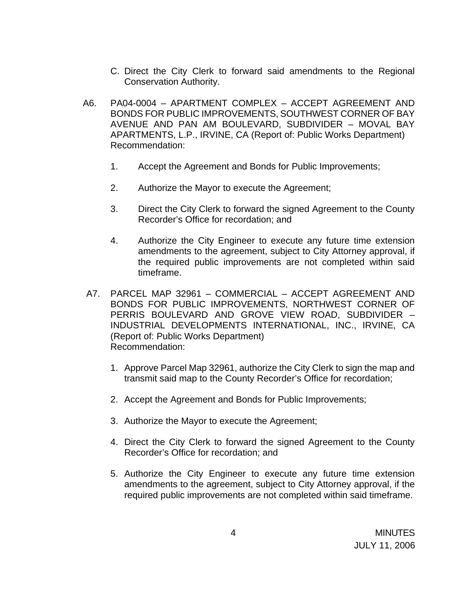- C. Direct the City Clerk to forward said amendments to the Regional Conservation Authority.
- A6. PA04-0004 APARTMENT COMPLEX ACCEPT AGREEMENT AND BONDS FOR PUBLIC IMPROVEMENTS, SOUTHWEST CORNER OF BAY AVENUE AND PAN AM BOULEVARD, SUBDIVIDER – MOVAL BAY APARTMENTS, L.P., IRVINE, CA (Report of: Public Works Department) Recommendation:
	- 1. Accept the Agreement and Bonds for Public Improvements;
	- 2. Authorize the Mayor to execute the Agreement;
	- 3. Direct the City Clerk to forward the signed Agreement to the County Recorder's Office for recordation; and
	- 4. Authorize the City Engineer to execute any future time extension amendments to the agreement, subject to City Attorney approval, if the required public improvements are not completed within said timeframe.
- A7. PARCEL MAP 32961 COMMERCIAL ACCEPT AGREEMENT AND BONDS FOR PUBLIC IMPROVEMENTS, NORTHWEST CORNER OF PERRIS BOULEVARD AND GROVE VIEW ROAD, SUBDIVIDER – INDUSTRIAL DEVELOPMENTS INTERNATIONAL, INC., IRVINE, CA (Report of: Public Works Department) Recommendation:
	- 1. Approve Parcel Map 32961, authorize the City Clerk to sign the map and transmit said map to the County Recorder's Office for recordation;
	- 2. Accept the Agreement and Bonds for Public Improvements;
	- 3. Authorize the Mayor to execute the Agreement;
	- 4. Direct the City Clerk to forward the signed Agreement to the County Recorder's Office for recordation; and
	- 5. Authorize the City Engineer to execute any future time extension amendments to the agreement, subject to City Attorney approval, if the required public improvements are not completed within said timeframe.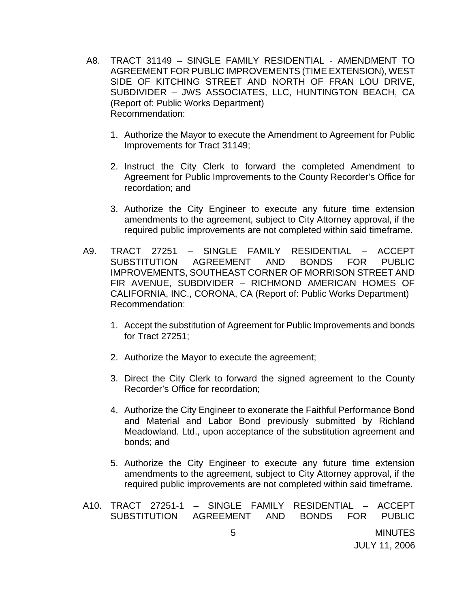- A8. TRACT 31149 SINGLE FAMILY RESIDENTIAL AMENDMENT TO AGREEMENT FOR PUBLIC IMPROVEMENTS (TIME EXTENSION), WEST SIDE OF KITCHING STREET AND NORTH OF FRAN LOU DRIVE, SUBDIVIDER – JWS ASSOCIATES, LLC, HUNTINGTON BEACH, CA (Report of: Public Works Department) Recommendation:
	- 1. Authorize the Mayor to execute the Amendment to Agreement for Public Improvements for Tract 31149;
	- 2. Instruct the City Clerk to forward the completed Amendment to Agreement for Public Improvements to the County Recorder's Office for recordation; and
	- 3. Authorize the City Engineer to execute any future time extension amendments to the agreement, subject to City Attorney approval, if the required public improvements are not completed within said timeframe.
- A9. TRACT 27251 SINGLE FAMILY RESIDENTIAL ACCEPT SUBSTITUTION AGREEMENT AND BONDS FOR PUBLIC IMPROVEMENTS, SOUTHEAST CORNER OF MORRISON STREET AND FIR AVENUE, SUBDIVIDER – RICHMOND AMERICAN HOMES OF CALIFORNIA, INC., CORONA, CA (Report of: Public Works Department) Recommendation:
	- 1. Accept the substitution of Agreement for Public Improvements and bonds for Tract 27251;
	- 2. Authorize the Mayor to execute the agreement;
	- 3. Direct the City Clerk to forward the signed agreement to the County Recorder's Office for recordation;
	- 4. Authorize the City Engineer to exonerate the Faithful Performance Bond and Material and Labor Bond previously submitted by Richland Meadowland. Ltd., upon acceptance of the substitution agreement and bonds; and
	- 5. Authorize the City Engineer to execute any future time extension amendments to the agreement, subject to City Attorney approval, if the required public improvements are not completed within said timeframe.

|                      |  | A10. TRACT 27251-1 - SINGLE FAMILY RESIDENTIAL - ACCEPT |  |  |
|----------------------|--|---------------------------------------------------------|--|--|
|                      |  | SUBSTITUTION AGREEMENT AND BONDS FOR PUBLIC             |  |  |
| MINUTES              |  | _Б                                                      |  |  |
| <b>JULY 11, 2006</b> |  |                                                         |  |  |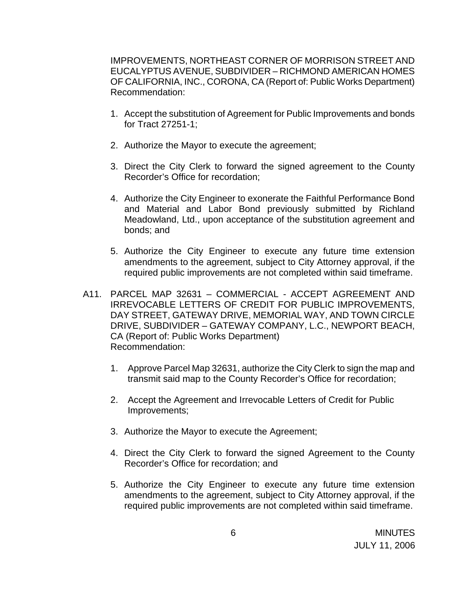IMPROVEMENTS, NORTHEAST CORNER OF MORRISON STREET AND EUCALYPTUS AVENUE, SUBDIVIDER – RICHMOND AMERICAN HOMES OF CALIFORNIA, INC., CORONA, CA (Report of: Public Works Department) Recommendation:

- 1. Accept the substitution of Agreement for Public Improvements and bonds for Tract 27251-1;
- 2. Authorize the Mayor to execute the agreement;
- 3. Direct the City Clerk to forward the signed agreement to the County Recorder's Office for recordation;
- 4. Authorize the City Engineer to exonerate the Faithful Performance Bond and Material and Labor Bond previously submitted by Richland Meadowland, Ltd., upon acceptance of the substitution agreement and bonds; and
- 5. Authorize the City Engineer to execute any future time extension amendments to the agreement, subject to City Attorney approval, if the required public improvements are not completed within said timeframe.
- A11. PARCEL MAP 32631 COMMERCIAL ACCEPT AGREEMENT AND IRREVOCABLE LETTERS OF CREDIT FOR PUBLIC IMPROVEMENTS, DAY STREET, GATEWAY DRIVE, MEMORIAL WAY, AND TOWN CIRCLE DRIVE, SUBDIVIDER – GATEWAY COMPANY, L.C., NEWPORT BEACH, CA (Report of: Public Works Department) Recommendation:
	- 1. Approve Parcel Map 32631, authorize the City Clerk to sign the map and transmit said map to the County Recorder's Office for recordation;
	- 2. Accept the Agreement and Irrevocable Letters of Credit for Public Improvements;
	- 3. Authorize the Mayor to execute the Agreement;
	- 4. Direct the City Clerk to forward the signed Agreement to the County Recorder's Office for recordation; and
	- 5. Authorize the City Engineer to execute any future time extension amendments to the agreement, subject to City Attorney approval, if the required public improvements are not completed within said timeframe.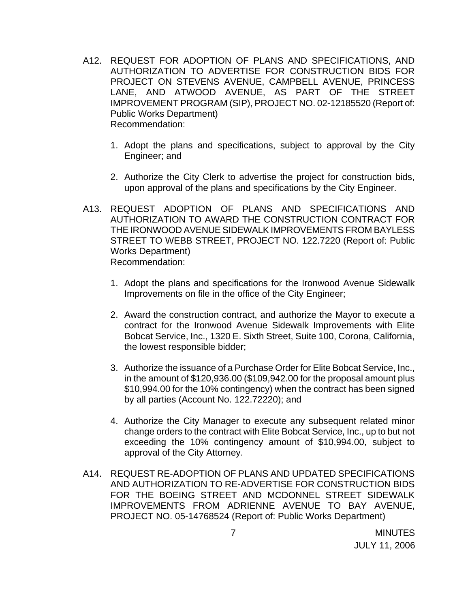- A12. REQUEST FOR ADOPTION OF PLANS AND SPECIFICATIONS, AND AUTHORIZATION TO ADVERTISE FOR CONSTRUCTION BIDS FOR PROJECT ON STEVENS AVENUE, CAMPBELL AVENUE, PRINCESS LANE, AND ATWOOD AVENUE, AS PART OF THE STREET IMPROVEMENT PROGRAM (SIP), PROJECT NO. 02-12185520 (Report of: Public Works Department) Recommendation:
	- 1. Adopt the plans and specifications, subject to approval by the City Engineer; and
	- 2. Authorize the City Clerk to advertise the project for construction bids, upon approval of the plans and specifications by the City Engineer.
- A13. REQUEST ADOPTION OF PLANS AND SPECIFICATIONS AND AUTHORIZATION TO AWARD THE CONSTRUCTION CONTRACT FOR THE IRONWOOD AVENUE SIDEWALK IMPROVEMENTS FROM BAYLESS STREET TO WEBB STREET, PROJECT NO. 122.7220 (Report of: Public Works Department) Recommendation:
	- 1. Adopt the plans and specifications for the Ironwood Avenue Sidewalk Improvements on file in the office of the City Engineer;
	- 2. Award the construction contract, and authorize the Mayor to execute a contract for the Ironwood Avenue Sidewalk Improvements with Elite Bobcat Service, Inc., 1320 E. Sixth Street, Suite 100, Corona, California, the lowest responsible bidder;
	- 3. Authorize the issuance of a Purchase Order for Elite Bobcat Service, Inc., in the amount of \$120,936.00 (\$109,942.00 for the proposal amount plus \$10,994.00 for the 10% contingency) when the contract has been signed by all parties (Account No. 122.72220); and
	- 4. Authorize the City Manager to execute any subsequent related minor change orders to the contract with Elite Bobcat Service, Inc., up to but not exceeding the 10% contingency amount of \$10,994.00, subject to approval of the City Attorney.
- A14. REQUEST RE-ADOPTION OF PLANS AND UPDATED SPECIFICATIONS AND AUTHORIZATION TO RE-ADVERTISE FOR CONSTRUCTION BIDS FOR THE BOEING STREET AND MCDONNEL STREET SIDEWALK IMPROVEMENTS FROM ADRIENNE AVENUE TO BAY AVENUE, PROJECT NO. 05-14768524 (Report of: Public Works Department)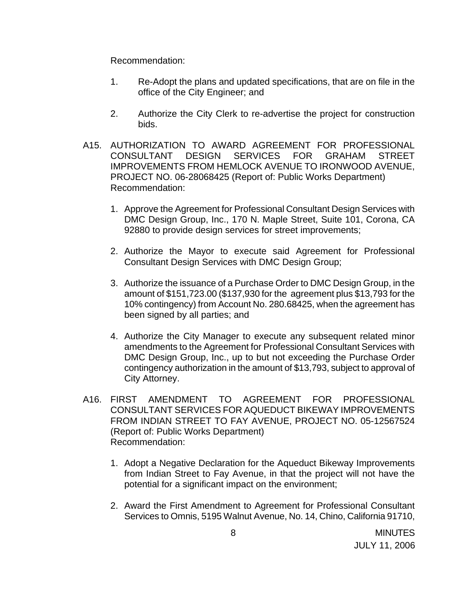Recommendation:

- 1. Re-Adopt the plans and updated specifications, that are on file in the office of the City Engineer; and
- 2. Authorize the City Clerk to re-advertise the project for construction bids.
- A15. AUTHORIZATION TO AWARD AGREEMENT FOR PROFESSIONAL CONSULTANT DESIGN SERVICES FOR GRAHAM STREET IMPROVEMENTS FROM HEMLOCK AVENUE TO IRONWOOD AVENUE, PROJECT NO. 06-28068425 (Report of: Public Works Department) Recommendation:
	- 1. Approve the Agreement for Professional Consultant Design Services with DMC Design Group, Inc., 170 N. Maple Street, Suite 101, Corona, CA 92880 to provide design services for street improvements;
	- 2. Authorize the Mayor to execute said Agreement for Professional Consultant Design Services with DMC Design Group;
	- 3. Authorize the issuance of a Purchase Order to DMC Design Group, in the amount of \$151,723.00 (\$137,930 for the agreement plus \$13,793 for the 10% contingency) from Account No. 280.68425, when the agreement has been signed by all parties; and
	- 4. Authorize the City Manager to execute any subsequent related minor amendments to the Agreement for Professional Consultant Services with DMC Design Group, Inc., up to but not exceeding the Purchase Order contingency authorization in the amount of \$13,793, subject to approval of City Attorney.
- A16. FIRST AMENDMENT TO AGREEMENT FOR PROFESSIONAL CONSULTANT SERVICES FOR AQUEDUCT BIKEWAY IMPROVEMENTS FROM INDIAN STREET TO FAY AVENUE, PROJECT NO. 05-12567524 (Report of: Public Works Department) Recommendation:
	- 1. Adopt a Negative Declaration for the Aqueduct Bikeway Improvements from Indian Street to Fay Avenue, in that the project will not have the potential for a significant impact on the environment;
	- 2. Award the First Amendment to Agreement for Professional Consultant Services to Omnis, 5195 Walnut Avenue, No. 14, Chino, California 91710,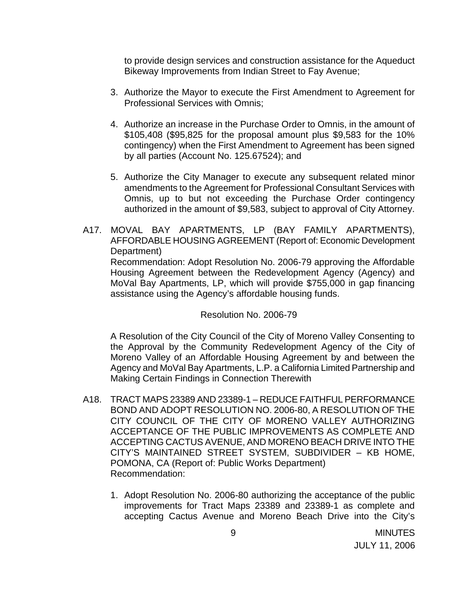to provide design services and construction assistance for the Aqueduct Bikeway Improvements from Indian Street to Fay Avenue;

- 3. Authorize the Mayor to execute the First Amendment to Agreement for Professional Services with Omnis;
- 4. Authorize an increase in the Purchase Order to Omnis, in the amount of \$105,408 (\$95,825 for the proposal amount plus \$9,583 for the 10% contingency) when the First Amendment to Agreement has been signed by all parties (Account No. 125.67524); and
- 5. Authorize the City Manager to execute any subsequent related minor amendments to the Agreement for Professional Consultant Services with Omnis, up to but not exceeding the Purchase Order contingency authorized in the amount of \$9,583, subject to approval of City Attorney.
- A17. MOVAL BAY APARTMENTS, LP (BAY FAMILY APARTMENTS), AFFORDABLE HOUSING AGREEMENT (Report of: Economic Development Department) Recommendation: Adopt Resolution No. 2006-79 approving the Affordable Housing Agreement between the Redevelopment Agency (Agency) and MoVal Bay Apartments, LP, which will provide \$755,000 in gap financing assistance using the Agency's affordable housing funds.

Resolution No. 2006-79

 A Resolution of the City Council of the City of Moreno Valley Consenting to the Approval by the Community Redevelopment Agency of the City of Moreno Valley of an Affordable Housing Agreement by and between the Agency and MoVal Bay Apartments, L.P. a California Limited Partnership and Making Certain Findings in Connection Therewith

- A18. TRACT MAPS 23389 AND 23389-1 REDUCE FAITHFUL PERFORMANCE BOND AND ADOPT RESOLUTION NO. 2006-80, A RESOLUTION OF THE CITY COUNCIL OF THE CITY OF MORENO VALLEY AUTHORIZING ACCEPTANCE OF THE PUBLIC IMPROVEMENTS AS COMPLETE AND ACCEPTING CACTUS AVENUE, AND MORENO BEACH DRIVE INTO THE CITY'S MAINTAINED STREET SYSTEM, SUBDIVIDER – KB HOME, POMONA, CA (Report of: Public Works Department) Recommendation:
	- 1. Adopt Resolution No. 2006-80 authorizing the acceptance of the public improvements for Tract Maps 23389 and 23389-1 as complete and accepting Cactus Avenue and Moreno Beach Drive into the City's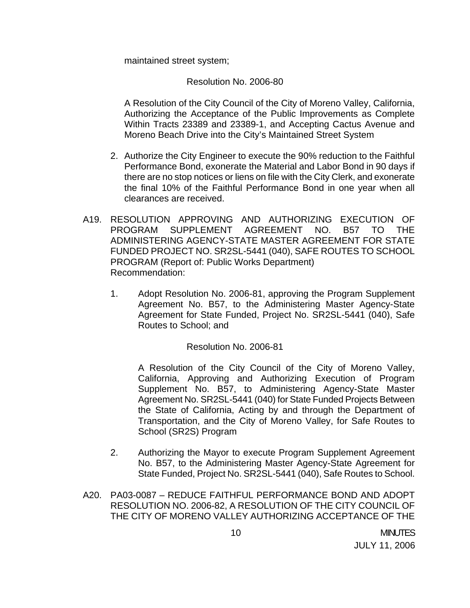maintained street system;

Resolution No. 2006-80

A Resolution of the City Council of the City of Moreno Valley, California, Authorizing the Acceptance of the Public Improvements as Complete Within Tracts 23389 and 23389-1, and Accepting Cactus Avenue and Moreno Beach Drive into the City's Maintained Street System

- 2. Authorize the City Engineer to execute the 90% reduction to the Faithful Performance Bond, exonerate the Material and Labor Bond in 90 days if there are no stop notices or liens on file with the City Clerk, and exonerate the final 10% of the Faithful Performance Bond in one year when all clearances are received.
- A19. RESOLUTION APPROVING AND AUTHORIZING EXECUTION OF PROGRAM SUPPLEMENT AGREEMENT NO. B57 TO THE ADMINISTERING AGENCY-STATE MASTER AGREEMENT FOR STATE FUNDED PROJECT NO. SR2SL-5441 (040), SAFE ROUTES TO SCHOOL PROGRAM (Report of: Public Works Department) Recommendation:
	- 1. Adopt Resolution No. 2006-81, approving the Program Supplement Agreement No. B57, to the Administering Master Agency-State Agreement for State Funded, Project No. SR2SL-5441 (040), Safe Routes to School; and

### Resolution No. 2006-81

A Resolution of the City Council of the City of Moreno Valley, California, Approving and Authorizing Execution of Program Supplement No. B57, to Administering Agency-State Master Agreement No. SR2SL-5441 (040) for State Funded Projects Between the State of California, Acting by and through the Department of Transportation, and the City of Moreno Valley, for Safe Routes to School (SR2S) Program

- 2. Authorizing the Mayor to execute Program Supplement Agreement No. B57, to the Administering Master Agency-State Agreement for State Funded, Project No. SR2SL-5441 (040), Safe Routes to School.
- A20. PA03-0087 REDUCE FAITHFUL PERFORMANCE BOND AND ADOPT RESOLUTION NO. 2006-82, A RESOLUTION OF THE CITY COUNCIL OF THE CITY OF MORENO VALLEY AUTHORIZING ACCEPTANCE OF THE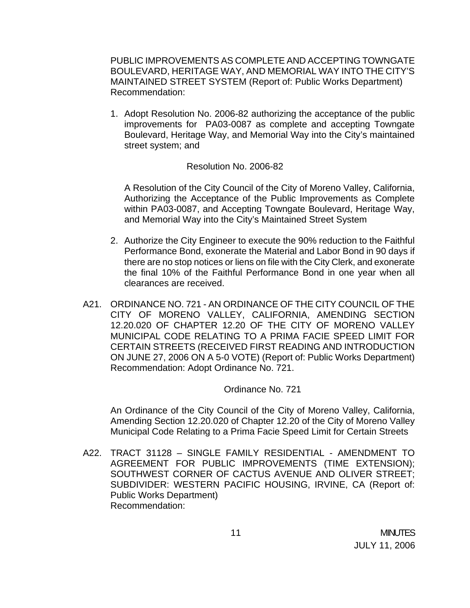PUBLIC IMPROVEMENTS AS COMPLETE AND ACCEPTING TOWNGATE BOULEVARD, HERITAGE WAY, AND MEMORIAL WAY INTO THE CITY'S MAINTAINED STREET SYSTEM (Report of: Public Works Department) Recommendation:

1. Adopt Resolution No. 2006-82 authorizing the acceptance of the public improvements for PA03-0087 as complete and accepting Towngate Boulevard, Heritage Way, and Memorial Way into the City's maintained street system; and

#### Resolution No. 2006-82

A Resolution of the City Council of the City of Moreno Valley, California, Authorizing the Acceptance of the Public Improvements as Complete within PA03-0087, and Accepting Towngate Boulevard, Heritage Way, and Memorial Way into the City's Maintained Street System

- 2. Authorize the City Engineer to execute the 90% reduction to the Faithful Performance Bond, exonerate the Material and Labor Bond in 90 days if there are no stop notices or liens on file with the City Clerk, and exonerate the final 10% of the Faithful Performance Bond in one year when all clearances are received.
- A21. ORDINANCE NO. 721 AN ORDINANCE OF THE CITY COUNCIL OF THE CITY OF MORENO VALLEY, CALIFORNIA, AMENDING SECTION 12.20.020 OF CHAPTER 12.20 OF THE CITY OF MORENO VALLEY MUNICIPAL CODE RELATING TO A PRIMA FACIE SPEED LIMIT FOR CERTAIN STREETS (RECEIVED FIRST READING AND INTRODUCTION ON JUNE 27, 2006 ON A 5-0 VOTE) (Report of: Public Works Department) Recommendation: Adopt Ordinance No. 721.

#### Ordinance No. 721

An Ordinance of the City Council of the City of Moreno Valley, California, Amending Section 12.20.020 of Chapter 12.20 of the City of Moreno Valley Municipal Code Relating to a Prima Facie Speed Limit for Certain Streets

A22. TRACT 31128 – SINGLE FAMILY RESIDENTIAL - AMENDMENT TO AGREEMENT FOR PUBLIC IMPROVEMENTS (TIME EXTENSION); SOUTHWEST CORNER OF CACTUS AVENUE AND OLIVER STREET; SUBDIVIDER: WESTERN PACIFIC HOUSING, IRVINE, CA (Report of: Public Works Department) Recommendation: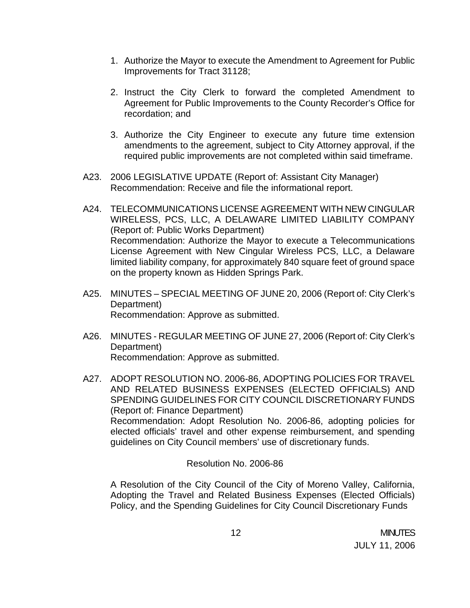- 1. Authorize the Mayor to execute the Amendment to Agreement for Public Improvements for Tract 31128;
- 2. Instruct the City Clerk to forward the completed Amendment to Agreement for Public Improvements to the County Recorder's Office for recordation; and
- 3. Authorize the City Engineer to execute any future time extension amendments to the agreement, subject to City Attorney approval, if the required public improvements are not completed within said timeframe.
- A23. 2006 LEGISLATIVE UPDATE (Report of: Assistant City Manager) Recommendation: Receive and file the informational report.
- A24. TELECOMMUNICATIONS LICENSE AGREEMENT WITH NEW CINGULAR WIRELESS, PCS, LLC, A DELAWARE LIMITED LIABILITY COMPANY (Report of: Public Works Department) Recommendation: Authorize the Mayor to execute a Telecommunications License Agreement with New Cingular Wireless PCS, LLC, a Delaware limited liability company, for approximately 840 square feet of ground space on the property known as Hidden Springs Park.
- A25. MINUTES SPECIAL MEETING OF JUNE 20, 2006 (Report of: City Clerk's Department) Recommendation: Approve as submitted.
- A26. MINUTES REGULAR MEETING OF JUNE 27, 2006 (Report of: City Clerk's Department) Recommendation: Approve as submitted.
- A27. ADOPT RESOLUTION NO. 2006-86, ADOPTING POLICIES FOR TRAVEL AND RELATED BUSINESS EXPENSES (ELECTED OFFICIALS) AND SPENDING GUIDELINES FOR CITY COUNCIL DISCRETIONARY FUNDS (Report of: Finance Department) Recommendation: Adopt Resolution No. 2006-86, adopting policies for elected officials' travel and other expense reimbursement, and spending guidelines on City Council members' use of discretionary funds.

### Resolution No. 2006-86

A Resolution of the City Council of the City of Moreno Valley, California, Adopting the Travel and Related Business Expenses (Elected Officials) Policy, and the Spending Guidelines for City Council Discretionary Funds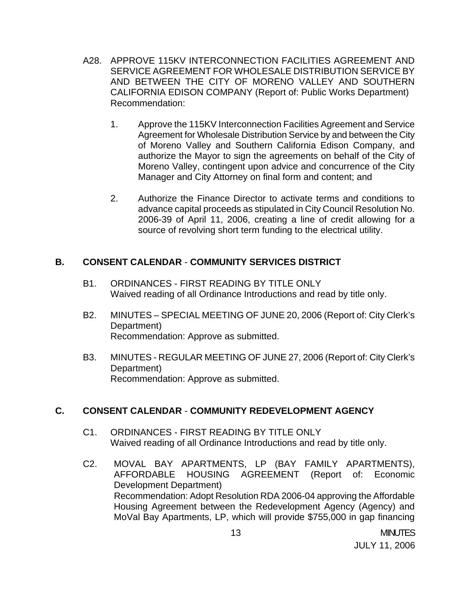- A28. APPROVE 115KV INTERCONNECTION FACILITIES AGREEMENT AND SERVICE AGREEMENT FOR WHOLESALE DISTRIBUTION SERVICE BY AND BETWEEN THE CITY OF MORENO VALLEY AND SOUTHERN CALIFORNIA EDISON COMPANY (Report of: Public Works Department) Recommendation:
	- 1. Approve the 115KV Interconnection Facilities Agreement and Service Agreement for Wholesale Distribution Service by and between the City of Moreno Valley and Southern California Edison Company, and authorize the Mayor to sign the agreements on behalf of the City of Moreno Valley, contingent upon advice and concurrence of the City Manager and City Attorney on final form and content; and
	- 2. Authorize the Finance Director to activate terms and conditions to advance capital proceeds as stipulated in City Council Resolution No. 2006-39 of April 11, 2006, creating a line of credit allowing for a source of revolving short term funding to the electrical utility.

## **B. CONSENT CALENDAR** - **COMMUNITY SERVICES DISTRICT**

- B1. ORDINANCES FIRST READING BY TITLE ONLY Waived reading of all Ordinance Introductions and read by title only.
- B2. MINUTES SPECIAL MEETING OF JUNE 20, 2006 (Report of: City Clerk's Department) Recommendation: Approve as submitted.
- B3. MINUTES REGULAR MEETING OF JUNE 27, 2006 (Report of: City Clerk's Department) Recommendation: Approve as submitted.

# **C. CONSENT CALENDAR** - **COMMUNITY REDEVELOPMENT AGENCY**

- C1. ORDINANCES FIRST READING BY TITLE ONLY Waived reading of all Ordinance Introductions and read by title only.
- C2. MOVAL BAY APARTMENTS, LP (BAY FAMILY APARTMENTS), AFFORDABLE HOUSING AGREEMENT (Report of: Economic Development Department) Recommendation: Adopt Resolution RDA 2006-04 approving the Affordable Housing Agreement between the Redevelopment Agency (Agency) and MoVal Bay Apartments, LP, which will provide \$755,000 in gap financing

 13 MINUTES JULY 11, 2006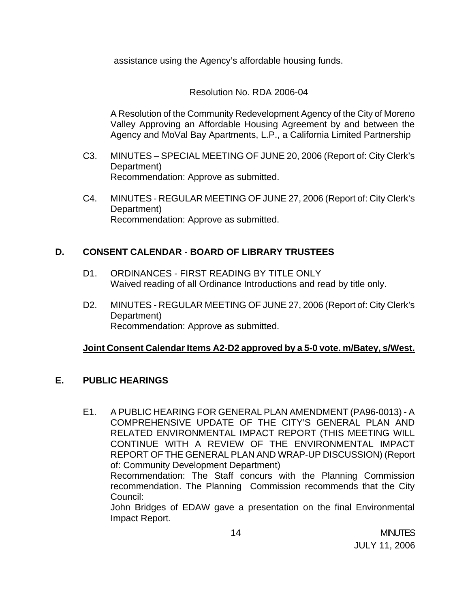assistance using the Agency's affordable housing funds.

# Resolution No. RDA 2006-04

A Resolution of the Community Redevelopment Agency of the City of Moreno Valley Approving an Affordable Housing Agreement by and between the Agency and MoVal Bay Apartments, L.P., a California Limited Partnership

- C3. MINUTES SPECIAL MEETING OF JUNE 20, 2006 (Report of: City Clerk's Department) Recommendation: Approve as submitted.
- C4. MINUTES REGULAR MEETING OF JUNE 27, 2006 (Report of: City Clerk's Department) Recommendation: Approve as submitted.

# **D. CONSENT CALENDAR** - **BOARD OF LIBRARY TRUSTEES**

- D1. ORDINANCES FIRST READING BY TITLE ONLY Waived reading of all Ordinance Introductions and read by title only.
- D2. MINUTES REGULAR MEETING OF JUNE 27, 2006 (Report of: City Clerk's Department) Recommendation: Approve as submitted.

# **Joint Consent Calendar Items A2-D2 approved by a 5-0 vote. m/Batey, s/West.**

## **E. PUBLIC HEARINGS**

E1. A PUBLIC HEARING FOR GENERAL PLAN AMENDMENT (PA96-0013) - A COMPREHENSIVE UPDATE OF THE CITY'S GENERAL PLAN AND RELATED ENVIRONMENTAL IMPACT REPORT (THIS MEETING WILL CONTINUE WITH A REVIEW OF THE ENVIRONMENTAL IMPACT REPORT OF THE GENERAL PLAN AND WRAP-UP DISCUSSION) (Report of: Community Development Department) Recommendation: The Staff concurs with the Planning Commission

recommendation. The Planning Commission recommends that the City Council: John Bridges of EDAW gave a presentation on the final Environmental

Impact Report.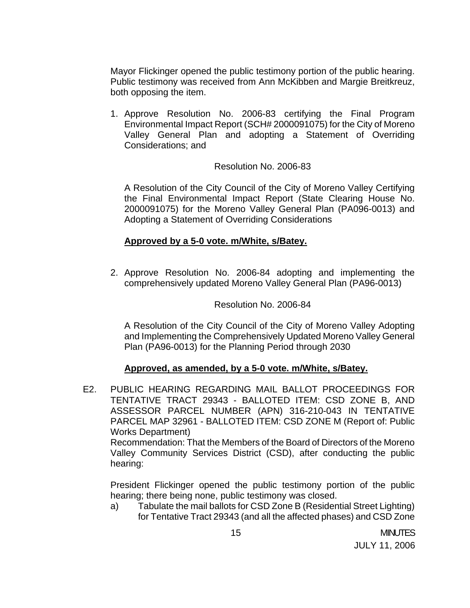Mayor Flickinger opened the public testimony portion of the public hearing. Public testimony was received from Ann McKibben and Margie Breitkreuz, both opposing the item.

1. Approve Resolution No. 2006-83 certifying the Final Program Environmental Impact Report (SCH# 2000091075) for the City of Moreno Valley General Plan and adopting a Statement of Overriding Considerations; and

#### Resolution No. 2006-83

A Resolution of the City Council of the City of Moreno Valley Certifying the Final Environmental Impact Report (State Clearing House No. 2000091075) for the Moreno Valley General Plan (PA096-0013) and Adopting a Statement of Overriding Considerations

#### **Approved by a 5-0 vote. m/White, s/Batey.**

2. Approve Resolution No. 2006-84 adopting and implementing the comprehensively updated Moreno Valley General Plan (PA96-0013)

#### Resolution No. 2006-84

A Resolution of the City Council of the City of Moreno Valley Adopting and Implementing the Comprehensively Updated Moreno Valley General Plan (PA96-0013) for the Planning Period through 2030

#### **Approved, as amended, by a 5-0 vote. m/White, s/Batey.**

E2. PUBLIC HEARING REGARDING MAIL BALLOT PROCEEDINGS FOR TENTATIVE TRACT 29343 - BALLOTED ITEM: CSD ZONE B, AND ASSESSOR PARCEL NUMBER (APN) 316-210-043 IN TENTATIVE PARCEL MAP 32961 - BALLOTED ITEM: CSD ZONE M (Report of: Public Works Department)

 Recommendation: That the Members of the Board of Directors of the Moreno Valley Community Services District (CSD), after conducting the public hearing:

 President Flickinger opened the public testimony portion of the public hearing; there being none, public testimony was closed.

a) Tabulate the mail ballots for CSD Zone B (Residential Street Lighting) for Tentative Tract 29343 (and all the affected phases) and CSD Zone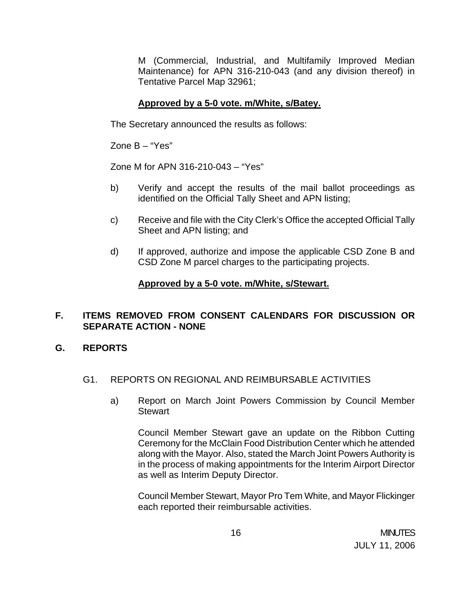M (Commercial, Industrial, and Multifamily Improved Median Maintenance) for APN 316-210-043 (and any division thereof) in Tentative Parcel Map 32961;

### **Approved by a 5-0 vote. m/White, s/Batey.**

The Secretary announced the results as follows:

Zone B – "Yes"

Zone M for APN 316-210-043 – "Yes"

- b) Verify and accept the results of the mail ballot proceedings as identified on the Official Tally Sheet and APN listing;
- c) Receive and file with the City Clerk's Office the accepted Official Tally Sheet and APN listing; and
- d) If approved, authorize and impose the applicable CSD Zone B and CSD Zone M parcel charges to the participating projects.

## **Approved by a 5-0 vote. m/White, s/Stewart.**

## **F. ITEMS REMOVED FROM CONSENT CALENDARS FOR DISCUSSION OR SEPARATE ACTION - NONE**

## **G. REPORTS**

- G1. REPORTS ON REGIONAL AND REIMBURSABLE ACTIVITIES
	- a) Report on March Joint Powers Commission by Council Member **Stewart**

 Council Member Stewart gave an update on the Ribbon Cutting Ceremony for the McClain Food Distribution Center which he attended along with the Mayor. Also, stated the March Joint Powers Authority is in the process of making appointments for the Interim Airport Director as well as Interim Deputy Director.

 Council Member Stewart, Mayor Pro Tem White, and Mayor Flickinger each reported their reimbursable activities.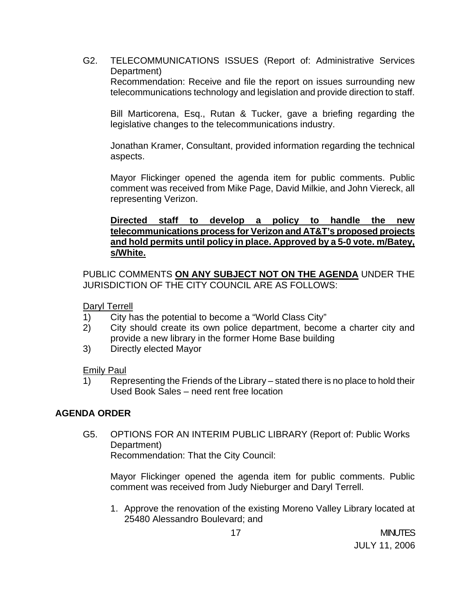G2. TELECOMMUNICATIONS ISSUES (Report of: Administrative Services Department) Recommendation: Receive and file the report on issues surrounding new telecommunications technology and legislation and provide direction to staff.

Bill Marticorena, Esq., Rutan & Tucker, gave a briefing regarding the legislative changes to the telecommunications industry.

Jonathan Kramer, Consultant, provided information regarding the technical aspects.

 Mayor Flickinger opened the agenda item for public comments. Public comment was received from Mike Page, David Milkie, and John Viereck, all representing Verizon.

### **Directed staff to develop a policy to handle the new telecommunications process for Verizon and AT&T's proposed projects and hold permits until policy in place. Approved by a 5-0 vote. m/Batey, s/White.**

PUBLIC COMMENTS **ON ANY SUBJECT NOT ON THE AGENDA** UNDER THE JURISDICTION OF THE CITY COUNCIL ARE AS FOLLOWS:

Daryl Terrell

- 1) City has the potential to become a "World Class City"
- 2) City should create its own police department, become a charter city and provide a new library in the former Home Base building
- 3) Directly elected Mayor

Emily Paul

 1) Representing the Friends of the Library – stated there is no place to hold their Used Book Sales – need rent free location

## **AGENDA ORDER**

 G5. OPTIONS FOR AN INTERIM PUBLIC LIBRARY (Report of: Public Works Department) Recommendation: That the City Council:

Mayor Flickinger opened the agenda item for public comments. Public comment was received from Judy Nieburger and Daryl Terrell.

1. Approve the renovation of the existing Moreno Valley Library located at 25480 Alessandro Boulevard; and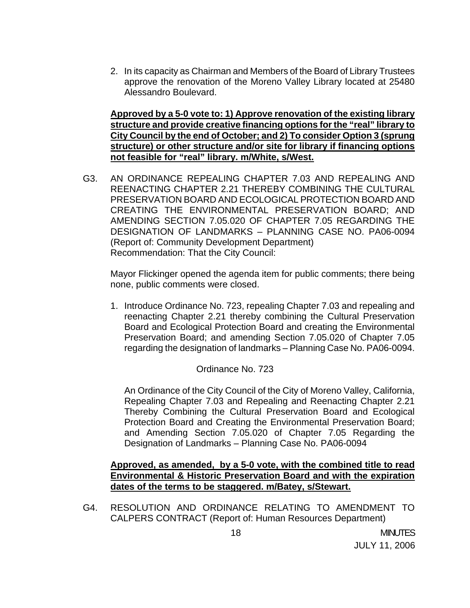2. In its capacity as Chairman and Members of the Board of Library Trustees approve the renovation of the Moreno Valley Library located at 25480 Alessandro Boulevard.

 **Approved by a 5-0 vote to: 1) Approve renovation of the existing library structure and provide creative financing options for the "real" library to City Council by the end of October; and 2) To consider Option 3 (sprung structure) or other structure and/or site for library if financing options not feasible for "real" library. m/White, s/West.**

 G3. AN ORDINANCE REPEALING CHAPTER 7.03 AND REPEALING AND REENACTING CHAPTER 2.21 THEREBY COMBINING THE CULTURAL PRESERVATION BOARD AND ECOLOGICAL PROTECTION BOARD AND CREATING THE ENVIRONMENTAL PRESERVATION BOARD; AND AMENDING SECTION 7.05.020 OF CHAPTER 7.05 REGARDING THE DESIGNATION OF LANDMARKS – PLANNING CASE NO. PA06-0094 (Report of: Community Development Department) Recommendation: That the City Council:

 Mayor Flickinger opened the agenda item for public comments; there being none, public comments were closed.

1. Introduce Ordinance No. 723, repealing Chapter 7.03 and repealing and reenacting Chapter 2.21 thereby combining the Cultural Preservation Board and Ecological Protection Board and creating the Environmental Preservation Board; and amending Section 7.05.020 of Chapter 7.05 regarding the designation of landmarks – Planning Case No. PA06-0094.

### Ordinance No. 723

 An Ordinance of the City Council of the City of Moreno Valley, California, Repealing Chapter 7.03 and Repealing and Reenacting Chapter 2.21 Thereby Combining the Cultural Preservation Board and Ecological Protection Board and Creating the Environmental Preservation Board; and Amending Section 7.05.020 of Chapter 7.05 Regarding the Designation of Landmarks – Planning Case No. PA06-0094

### **Approved, as amended, by a 5-0 vote, with the combined title to read Environmental & Historic Preservation Board and with the expiration dates of the terms to be staggered. m/Batey, s/Stewart.**

G4. RESOLUTION AND ORDINANCE RELATING TO AMENDMENT TO CALPERS CONTRACT (Report of: Human Resources Department)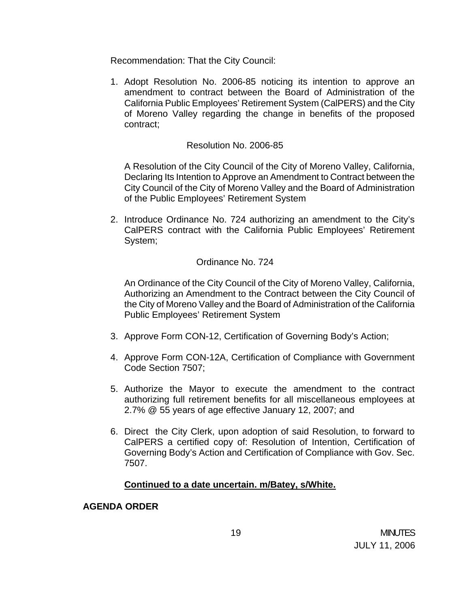Recommendation: That the City Council:

1. Adopt Resolution No. 2006-85 noticing its intention to approve an amendment to contract between the Board of Administration of the California Public Employees' Retirement System (CalPERS) and the City of Moreno Valley regarding the change in benefits of the proposed contract;

#### Resolution No. 2006-85

A Resolution of the City Council of the City of Moreno Valley, California, Declaring Its Intention to Approve an Amendment to Contract between the City Council of the City of Moreno Valley and the Board of Administration of the Public Employees' Retirement System

2. Introduce Ordinance No. 724 authorizing an amendment to the City's CalPERS contract with the California Public Employees' Retirement System;

### Ordinance No. 724

 An Ordinance of the City Council of the City of Moreno Valley, California, Authorizing an Amendment to the Contract between the City Council of the City of Moreno Valley and the Board of Administration of the California Public Employees' Retirement System

- 3. Approve Form CON-12, Certification of Governing Body's Action;
- 4. Approve Form CON-12A, Certification of Compliance with Government Code Section 7507;
- 5. Authorize the Mayor to execute the amendment to the contract authorizing full retirement benefits for all miscellaneous employees at 2.7% @ 55 years of age effective January 12, 2007; and
- 6. Direct the City Clerk, upon adoption of said Resolution, to forward to CalPERS a certified copy of: Resolution of Intention, Certification of Governing Body's Action and Certification of Compliance with Gov. Sec. 7507.

### **Continued to a date uncertain. m/Batey, s/White.**

#### **AGENDA ORDER**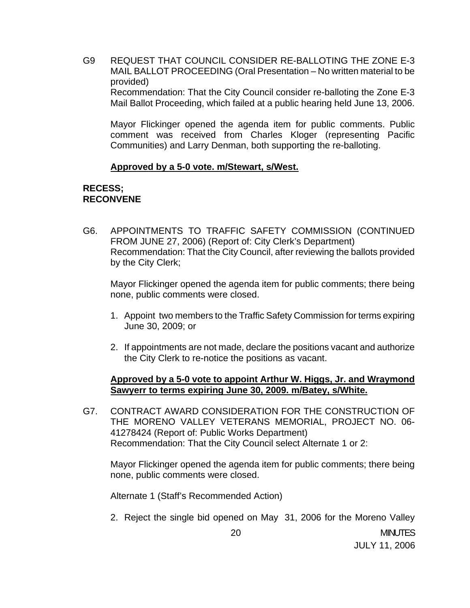G9 REQUEST THAT COUNCIL CONSIDER RE-BALLOTING THE ZONE E-3 MAIL BALLOT PROCEEDING (Oral Presentation – No written material to be provided) Recommendation: That the City Council consider re-balloting the Zone E-3 Mail Ballot Proceeding, which failed at a public hearing held June 13, 2006.

Mayor Flickinger opened the agenda item for public comments. Public comment was received from Charles Kloger (representing Pacific Communities) and Larry Denman, both supporting the re-balloting.

#### **Approved by a 5-0 vote. m/Stewart, s/West.**

#### **RECESS; RECONVENE**

G6. APPOINTMENTS TO TRAFFIC SAFETY COMMISSION (CONTINUED FROM JUNE 27, 2006) (Report of: City Clerk's Department) Recommendation: That the City Council, after reviewing the ballots provided by the City Clerk;

 Mayor Flickinger opened the agenda item for public comments; there being none, public comments were closed.

- 1. Appoint two members to the Traffic Safety Commission for terms expiring June 30, 2009; or
- 2. If appointments are not made, declare the positions vacant and authorize the City Clerk to re-notice the positions as vacant.

### **Approved by a 5-0 vote to appoint Arthur W. Higgs, Jr. and Wraymond Sawyerr to terms expiring June 30, 2009. m/Batey, s/White.**

G7. CONTRACT AWARD CONSIDERATION FOR THE CONSTRUCTION OF THE MORENO VALLEY VETERANS MEMORIAL, PROJECT NO. 06- 41278424 (Report of: Public Works Department) Recommendation: That the City Council select Alternate 1 or 2:

 Mayor Flickinger opened the agenda item for public comments; there being none, public comments were closed.

Alternate 1 (Staff's Recommended Action)

2. Reject the single bid opened on May 31, 2006 for the Moreno Valley

JULY 11, 2006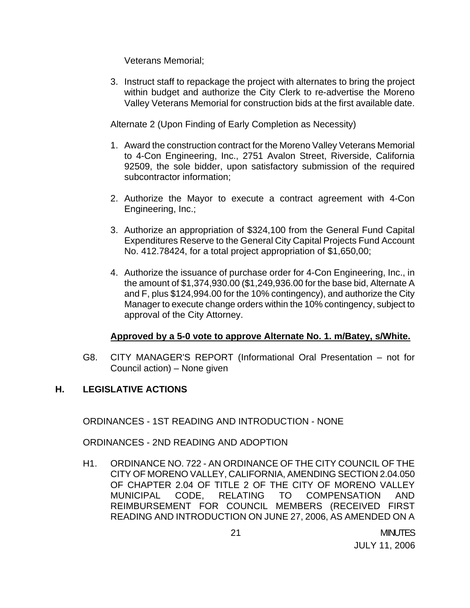Veterans Memorial;

3. Instruct staff to repackage the project with alternates to bring the project within budget and authorize the City Clerk to re-advertise the Moreno Valley Veterans Memorial for construction bids at the first available date.

Alternate 2 (Upon Finding of Early Completion as Necessity)

- 1. Award the construction contract for the Moreno Valley Veterans Memorial to 4-Con Engineering, Inc., 2751 Avalon Street, Riverside, California 92509, the sole bidder, upon satisfactory submission of the required subcontractor information;
- 2. Authorize the Mayor to execute a contract agreement with 4-Con Engineering, Inc.;
- 3. Authorize an appropriation of \$324,100 from the General Fund Capital Expenditures Reserve to the General City Capital Projects Fund Account No. 412.78424, for a total project appropriation of \$1,650,00;
- 4. Authorize the issuance of purchase order for 4-Con Engineering, Inc., in the amount of \$1,374,930.00 (\$1,249,936.00 for the base bid, Alternate A and F, plus \$124,994.00 for the 10% contingency), and authorize the City Manager to execute change orders within the 10% contingency, subject to approval of the City Attorney.

### **Approved by a 5-0 vote to approve Alternate No. 1. m/Batey, s/White.**

G8. CITY MANAGER'S REPORT (Informational Oral Presentation – not for Council action) – None given

## **H. LEGISLATIVE ACTIONS**

ORDINANCES - 1ST READING AND INTRODUCTION - NONE

ORDINANCES - 2ND READING AND ADOPTION

H1. ORDINANCE NO. 722 - AN ORDINANCE OF THE CITY COUNCIL OF THE CITY OF MORENO VALLEY, CALIFORNIA, AMENDING SECTION 2.04.050 OF CHAPTER 2.04 OF TITLE 2 OF THE CITY OF MORENO VALLEY MUNICIPAL CODE, RELATING TO COMPENSATION AND REIMBURSEMENT FOR COUNCIL MEMBERS (RECEIVED FIRST READING AND INTRODUCTION ON JUNE 27, 2006, AS AMENDED ON A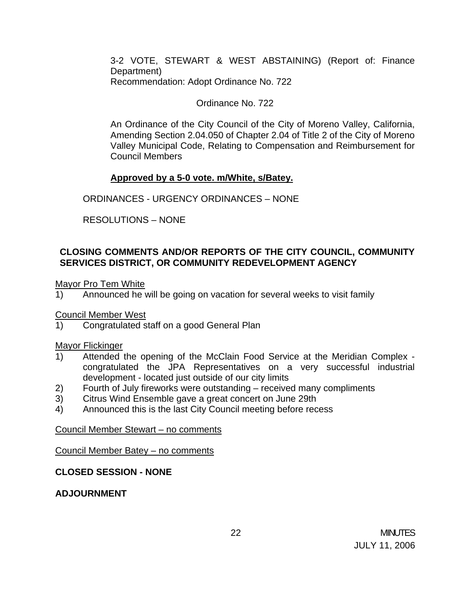3-2 VOTE, STEWART & WEST ABSTAINING) (Report of: Finance Department) Recommendation: Adopt Ordinance No. 722

#### Ordinance No. 722

An Ordinance of the City Council of the City of Moreno Valley, California, Amending Section 2.04.050 of Chapter 2.04 of Title 2 of the City of Moreno Valley Municipal Code, Relating to Compensation and Reimbursement for Council Members

#### **Approved by a 5-0 vote. m/White, s/Batey.**

ORDINANCES - URGENCY ORDINANCES – NONE

RESOLUTIONS – NONE

### **CLOSING COMMENTS AND/OR REPORTS OF THE CITY COUNCIL, COMMUNITY SERVICES DISTRICT, OR COMMUNITY REDEVELOPMENT AGENCY**

Mayor Pro Tem White

1) Announced he will be going on vacation for several weeks to visit family

Council Member West

1) Congratulated staff on a good General Plan

Mayor Flickinger<br>1) Attended

- Attended the opening of the McClain Food Service at the Meridian Complex congratulated the JPA Representatives on a very successful industrial development - located just outside of our city limits
- 2) Fourth of July fireworks were outstanding received many compliments
- 3) Citrus Wind Ensemble gave a great concert on June 29th
- 4) Announced this is the last City Council meeting before recess

#### Council Member Stewart – no comments

Council Member Batey – no comments

### **CLOSED SESSION - NONE**

### **ADJOURNMENT**